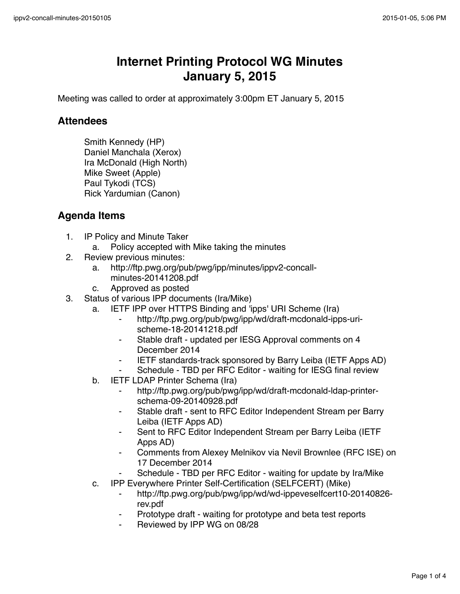## **Internet Printing Protocol WG Minutes January 5, 2015**

Meeting was called to order at approximately 3:00pm ET January 5, 2015

## **Attendees**

Smith Kennedy (HP) Daniel Manchala (Xerox) Ira McDonald (High North) Mike Sweet (Apple) Paul Tykodi (TCS) Rick Yardumian (Canon)

## **Agenda Items**

- 1. IP Policy and Minute Taker
	- a. Policy accepted with Mike taking the minutes
- 2. Review previous minutes:
	- a. http://ftp.pwg.org/pub/pwg/ipp/minutes/ippv2-concallminutes-20141208.pdf
	- c. Approved as posted
- 3. Status of various IPP documents (Ira/Mike)
	- a. IETF IPP over HTTPS Binding and 'ipps' URI Scheme (Ira)
		- ⁃ http://ftp.pwg.org/pub/pwg/ipp/wd/draft-mcdonald-ipps-urischeme-18-20141218.pdf
		- ⁃ Stable draft updated per IESG Approval comments on 4 December 2014
		- **IETF standards-track sponsored by Barry Leiba (IETF Apps AD)**
		- Schedule TBD per RFC Editor waiting for IESG final review
	- b. IETF LDAP Printer Schema (Ira)
		- ⁃ http://ftp.pwg.org/pub/pwg/ipp/wd/draft-mcdonald-ldap-printerschema-09-20140928.pdf
		- Stable draft sent to RFC Editor Independent Stream per Barry Leiba (IETF Apps AD)
		- Sent to RFC Editor Independent Stream per Barry Leiba (IETF Apps AD)
		- ⁃ Comments from Alexey Melnikov via Nevil Brownlee (RFC ISE) on 17 December 2014
			- Schedule TBD per RFC Editor waiting for update by Ira/Mike
	- c. IPP Everywhere Printer Self-Certification (SELFCERT) (Mike)
		- ⁃ http://ftp.pwg.org/pub/pwg/ipp/wd/wd-ippeveselfcert10-20140826 rev.pdf
		- Prototype draft waiting for prototype and beta test reports
		- Reviewed by IPP WG on 08/28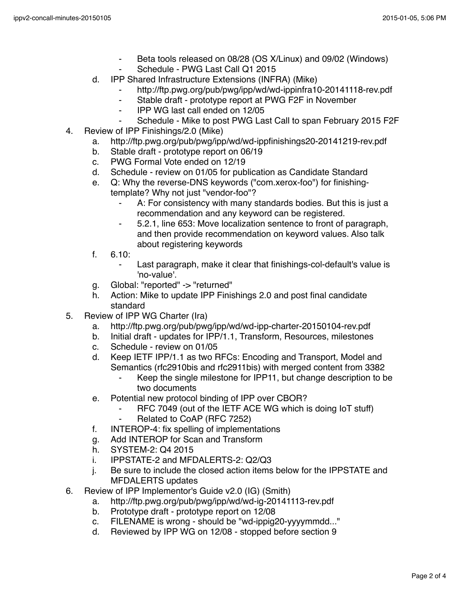- ⁃ Beta tools released on 08/28 (OS X/Linux) and 09/02 (Windows)
- Schedule PWG Last Call Q1 2015
- d. IPP Shared Infrastructure Extensions (INFRA) (Mike)
	- http://ftp.pwg.org/pub/pwg/ipp/wd/wd-ippinfra10-20141118-rev.pdf
	- ⁃ Stable draft prototype report at PWG F2F in November
	- ⁃ IPP WG last call ended on 12/05
	- ⁃ Schedule Mike to post PWG Last Call to span February 2015 F2F
- 4. Review of IPP Finishings/2.0 (Mike)
	- a. http://ftp.pwg.org/pub/pwg/ipp/wd/wd-ippfinishings20-20141219-rev.pdf
	- b. Stable draft prototype report on 06/19
	- c. PWG Formal Vote ended on 12/19
	- d. Schedule review on 01/05 for publication as Candidate Standard
	- e. Q: Why the reverse-DNS keywords ("com.xerox-foo") for finishingtemplate? Why not just "vendor-foo"?
		- A: For consistency with many standards bodies. But this is just a recommendation and any keyword can be registered.
		- ⁃ 5.2.1, line 653: Move localization sentence to front of paragraph, and then provide recommendation on keyword values. Also talk about registering keywords
	- f. 6.10:
		- Last paragraph, make it clear that finishings-col-default's value is 'no-value'.
	- g. Global: "reported" -> "returned"
	- h. Action: Mike to update IPP Finishings 2.0 and post final candidate standard
- 5. Review of IPP WG Charter (Ira)
	- a. http://ftp.pwg.org/pub/pwg/ipp/wd/wd-ipp-charter-20150104-rev.pdf
	- b. Initial draft updates for IPP/1.1, Transform, Resources, milestones
	- c. Schedule review on 01/05
	- d. Keep IETF IPP/1.1 as two RFCs: Encoding and Transport, Model and Semantics (rfc2910bis and rfc2911bis) with merged content from 3382
		- ⁃ Keep the single milestone for IPP11, but change description to be two documents
	- e. Potential new protocol binding of IPP over CBOR?
		- RFC 7049 (out of the IETF ACE WG which is doing IoT stuff)
		- Related to CoAP (RFC 7252)
	- f. INTEROP-4: fix spelling of implementations
	- g. Add INTEROP for Scan and Transform
	- h. SYSTEM-2: Q4 2015
	- i. IPPSTATE-2 and MFDALERTS-2: Q2/Q3
	- j. Be sure to include the closed action items below for the IPPSTATE and MFDALERTS updates
- 6. Review of IPP Implementor's Guide v2.0 (IG) (Smith)
	- a. http://ftp.pwg.org/pub/pwg/ipp/wd/wd-ig-20141113-rev.pdf
	- b. Prototype draft prototype report on 12/08
	- c. FILENAME is wrong should be "wd-ippig20-yyyymmdd..."
	- d. Reviewed by IPP WG on 12/08 stopped before section 9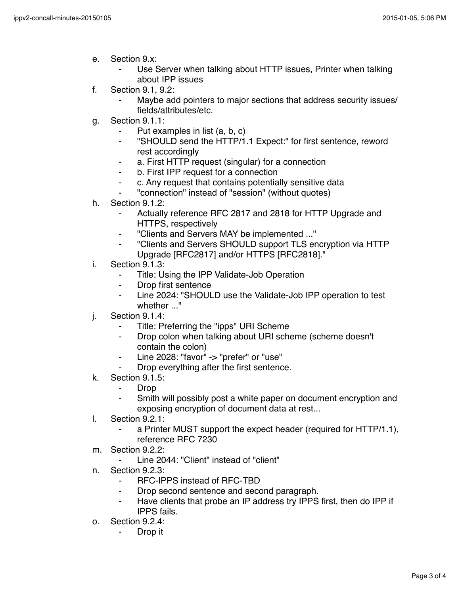- e. Section 9.x:
	- Use Server when talking about HTTP issues, Printer when talking about IPP issues
- f. Section 9.1, 9.2:
	- Maybe add pointers to major sections that address security issues/ fields/attributes/etc.
- g. Section 9.1.1:
	- ⁃ Put examples in list (a, b, c)
	- ⁃ "SHOULD send the HTTP/1.1 Expect:" for first sentence, reword rest accordingly
	- a. First HTTP request (singular) for a connection
	- ⁃ b. First IPP request for a connection
	- ⁃ c. Any request that contains potentially sensitive data
	- ⁃ "connection" instead of "session" (without quotes)
- h. Section 9.1.2:
	- Actually reference RFC 2817 and 2818 for HTTP Upgrade and HTTPS, respectively
	- ⁃ "Clients and Servers MAY be implemented ..."
	- ⁃ "Clients and Servers SHOULD support TLS encryption via HTTP Upgrade [RFC2817] and/or HTTPS [RFC2818]."
- i. Section 9.1.3:
	- ⁃ Title: Using the IPP Validate-Job Operation
	- Drop first sentence
	- ⁃ Line 2024: "SHOULD use the Validate-Job IPP operation to test whether ..."
- j. Section 9.1.4:
	- ⁃ Title: Preferring the "ipps" URI Scheme
	- Drop colon when talking about URI scheme (scheme doesn't contain the colon)
	- Line 2028: "favor" -> "prefer" or "use"
	- Drop everything after the first sentence.
- k. Section 9.1.5:
	- Drop
	- ⁃ Smith will possibly post a white paper on document encryption and exposing encryption of document data at rest...
- l. Section 9.2.1:
	- a Printer MUST support the expect header (required for HTTP/1.1), reference RFC 7230
- m. Section 9.2.2:
	- Line 2044: "Client" instead of "client"
- n. Section 9.2.3:
	- ⁃ RFC-IPPS instead of RFC-TBD
	- Drop second sentence and second paragraph.
	- Have clients that probe an IP address try IPPS first, then do IPP if IPPS fails.
- o. Section 9.2.4:
	- Drop it